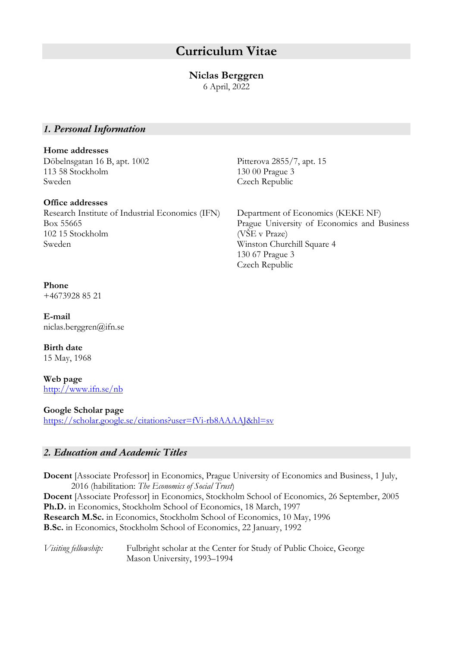# **Curriculum Vitae**

# **Niclas Berggren**

6 April, 2022

# *1. Personal Information*

#### **Home addresses**

Döbelnsgatan 16 B, apt. 1002 Pitterova 2855/7, apt. 15 113 58 Stockholm 130 00 Prague 3 Sweden Czech Republic

#### **Office addresses**

Research Institute of Industrial Economics (IFN) Department of Economics (KEKE NF) Box 55665 Prague University of Economics and Business 102 15 Stockholm (VŠE v Praze) Sweden Winston Churchill Square 4

130 67 Prague 3 Czech Republic

# **Phone**

+4673928 85 21

**E-mail** niclas.berggren@ifn.se

**Birth date** 15 May, 1968

**Web page** http://www.ifn.se/nb

#### **Google Scholar page**

https://scholar.google.se/citations?user=fVi-rb8AAAAJ&hl=sv

# *2. Education and Academic Titles*

**Docent** [Associate Professor] in Economics, Prague University of Economics and Business, 1 July, 2016 (habilitation: *The Economics of Social Trust*) **Docent** [Associate Professor] in Economics, Stockholm School of Economics, 26 September, 2005

**Ph.D.** in Economics, Stockholm School of Economics, 18 March, 1997 **Research M.Sc.** in Economics, Stockholm School of Economics, 10 May, 1996 **B.Sc.** in Economics, Stockholm School of Economics, 22 January, 1992

*Visiting fellowship:* Fulbright scholar at the Center for Study of Public Choice, George Mason University, 1993–1994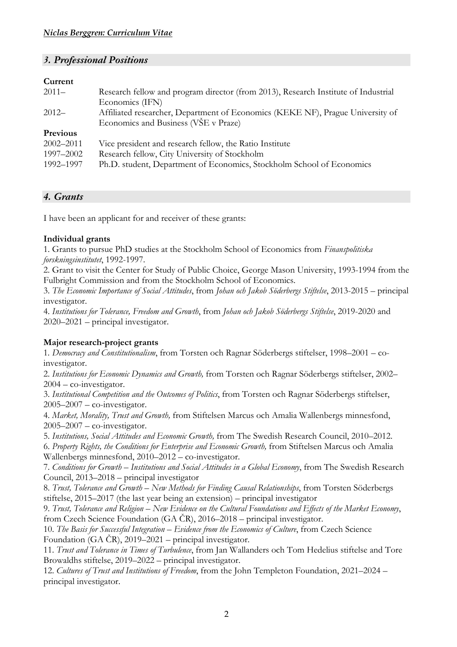# *3. Professional Positions*

#### **Current**

| $2011 -$               | Research fellow and program director (from 2013), Research Institute of Industrial<br>Economics (IFN)                  |
|------------------------|------------------------------------------------------------------------------------------------------------------------|
| $2012-$                | Affiliated researcher, Department of Economics (KEKE NF), Prague University of<br>Economics and Business (VSE v Praze) |
| Previous               |                                                                                                                        |
| $2002 - 2011$          | Vice president and research fellow, the Ratio Institute                                                                |
| 1997-2002<br>1992-1997 | Research fellow, City University of Stockholm<br>Ph.D. student, Department of Economics, Stockholm School of Economics |

# *4. Grants*

I have been an applicant for and receiver of these grants:

# **Individual grants**

1. Grants to pursue PhD studies at the Stockholm School of Economics from *Finanspolitiska forskningsinstitutet*, 1992-1997.

2. Grant to visit the Center for Study of Public Choice, George Mason University, 1993-1994 from the Fulbright Commission and from the Stockholm School of Economics.

3. *The Economic Importance of Social Attitudes*, from *Johan och Jakob Söderbergs Stiftelse*, 2013-2015 – principal investigator.

4. *Institutions for Tolerance, Freedom and Growth*, from *Johan och Jakob Söderbergs Stiftelse*, 2019-2020 and 2020–2021 – principal investigator.

# **Major research-project grants**

1*. Democracy and Constitutionalism*, from Torsten och Ragnar Söderbergs stiftelser, 1998–2001 – coinvestigator.

2. *Institutions for Economic Dynamics and Growth,* from Torsten och Ragnar Söderbergs stiftelser, 2002– 2004 – co-investigator.

3. *Institutional Competition and the Outcomes of Politics*, from Torsten och Ragnar Söderbergs stiftelser, 2005–2007 – co-investigator.

4. *Market, Morality, Trust and Growth,* from Stiftelsen Marcus och Amalia Wallenbergs minnesfond, 2005–2007 – co-investigator.

5. *Institutions, Social Attitudes and Economic Growth,* from The Swedish Research Council, 2010–2012. 6. *Property Rights, the Conditions for Enterprise and Economic Growth,* from Stiftelsen Marcus och Amalia Wallenbergs minnesfond, 2010–2012 – co-investigator.

7. *Conditions for Growth – Institutions and Social Attitudes in a Global Economy*, from The Swedish Research Council, 2013–2018 – principal investigator

8. *Trust, Tolerance and Growth – New Methods for Finding Causal Relationships*, from Torsten Söderbergs stiftelse, 2015–2017 (the last year being an extension) – principal investigator

9. *Trust, Tolerance and Religion – New Evidence on the Cultural Foundations and Effects of the Market Economy*, from Czech Science Foundation (GA ČR), 2016–2018 – principal investigator.

10. *The Basis for Successful Integration – Evidence from the Economics of Culture*, from Czech Science Foundation (GA ČR), 2019–2021 – principal investigator.

11. *Trust and Tolerance in Times of Turbulence*, from Jan Wallanders och Tom Hedelius stiftelse and Tore Browaldhs stiftelse, 2019–2022 – principal investigator.

12. *Cultures of Trust and Institutions of Freedom*, from the John Templeton Foundation, 2021–2024 – principal investigator.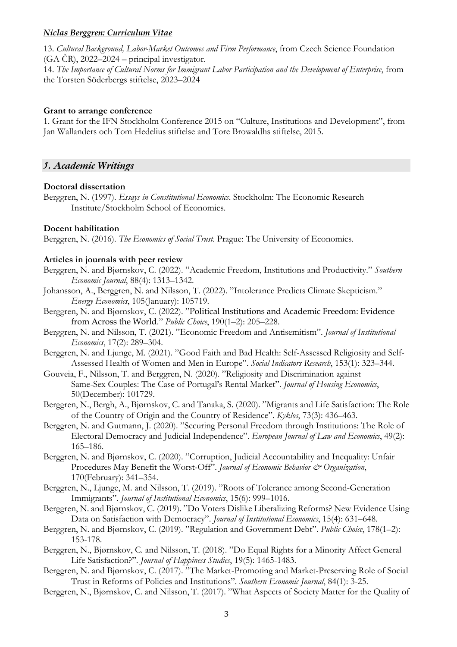13. *Cultural Background, Labor-Market Outcomes and Firm Performance*, from Czech Science Foundation  $(GA \check{C}R)$ , 2022–2024 – principal investigator.

14. *The Importance of Cultural Norms for Immigrant Labor Participation and the Development of Enterprise*, from the Torsten Söderbergs stiftelse, 2023–2024

#### **Grant to arrange conference**

1. Grant for the IFN Stockholm Conference 2015 on "Culture, Institutions and Development", from Jan Wallanders och Tom Hedelius stiftelse and Tore Browaldhs stiftelse, 2015.

#### *5. Academic Writings*

#### **Doctoral dissertation**

Berggren, N. (1997). *Essays in Constitutional Economics*. Stockholm: The Economic Research Institute/Stockholm School of Economics.

#### **Docent habilitation**

Berggren, N. (2016). *The Economics of Social Trust*. Prague: The University of Economics.

#### **Articles in journals with peer review**

- Berggren, N. and Bjørnskov, C. (2022). "Academic Freedom, Institutions and Productivity." *Southern Economic Journal*, 88(4): 1313–1342.
- Johansson, A., Berggren, N. and Nilsson, T. (2022). "Intolerance Predicts Climate Skepticism." *Energy Economics*, 105(January): 105719.
- Berggren, N. and Bjørnskov, C. (2022). "Political Institutions and Academic Freedom: Evidence from Across the World." *Public Choice*, 190(1–2): 205–228.
- Berggren, N. and Nilsson, T. (2021). "Economic Freedom and Antisemitism". *Journal of Institutional Economics*, 17(2): 289–304.
- Berggren, N. and Ljunge, M. (2021). "Good Faith and Bad Health: Self-Assessed Religiosity and Self-Assessed Health of Women and Men in Europe". *Social Indicators Research*, 153(1): 323–344.
- Gouveia, F., Nilsson, T. and Berggren, N. (2020). "Religiosity and Discrimination against Same-Sex Couples: The Case of Portugal's Rental Market". *Journal of Housing Economics*, 50(December): 101729.
- Berggren, N., Bergh, A., Bjørnskov, C. and Tanaka, S. (2020). "Migrants and Life Satisfaction: The Role of the Country of Origin and the Country of Residence". *Kyklos*, 73(3): 436–463.
- Berggren, N. and Gutmann, J. (2020). "Securing Personal Freedom through Institutions: The Role of Electoral Democracy and Judicial Independence". *European Journal of Law and Economics*, 49(2): 165–186.
- Berggren, N. and Bjørnskov, C. (2020). "Corruption, Judicial Accountability and Inequality: Unfair Procedures May Benefit the Worst-Off". *Journal of Economic Behavior & Organization*, 170(February): 341–354.
- Berggren, N., Ljunge, M. and Nilsson, T. (2019). "Roots of Tolerance among Second-Generation Immigrants". *Journal of Institutional Economics*, 15(6): 999–1016.
- Berggren, N. and Bjørnskov, C. (2019). "Do Voters Dislike Liberalizing Reforms? New Evidence Using Data on Satisfaction with Democracy". *Journal of Institutional Economics*, 15(4): 631–648.
- Berggren, N. and Bjørnskov, C. (2019). "Regulation and Government Debt". *Public Choice*, 178(1–2): 153-178.
- Berggren, N., Bjørnskov, C. and Nilsson, T. (2018). "Do Equal Rights for a Minority Affect General Life Satisfaction?". *Journal of Happiness Studies*, 19(5): 1465-1483.
- Berggren, N. and Bjørnskov, C. (2017). "The Market-Promoting and Market-Preserving Role of Social Trust in Reforms of Policies and Institutions". *Southern Economic Journal*, 84(1): 3-25.
- Berggren, N., Bjørnskov, C. and Nilsson, T. (2017). "What Aspects of Society Matter for the Quality of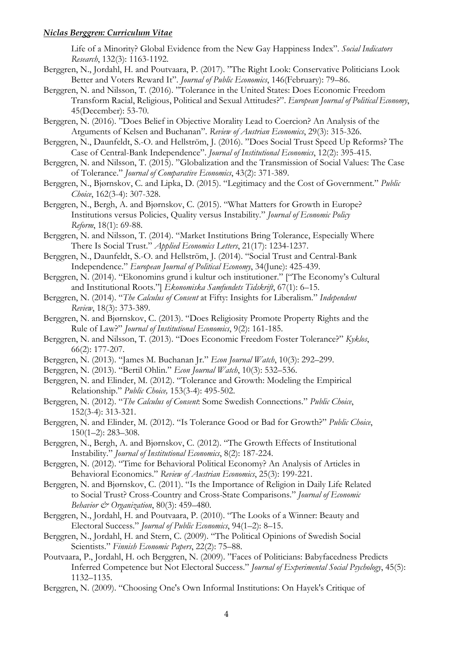Life of a Minority? Global Evidence from the New Gay Happiness Index". *Social Indicators Research*, 132(3): 1163-1192.

- Berggren, N., Jordahl, H. and Poutvaara, P. (2017). "The Right Look: Conservative Politicians Look Better and Voters Reward It". *Journal of Public Economics*, 146(February): 79–86.
- Berggren, N. and Nilsson, T. (2016). "Tolerance in the United States: Does Economic Freedom Transform Racial, Religious, Political and Sexual Attitudes?". *European Journal of Political Economy*, 45(December): 53-70.
- Berggren, N. (2016). "Does Belief in Objective Morality Lead to Coercion? An Analysis of the Arguments of Kelsen and Buchanan". *Review of Austrian Economics*, 29(3): 315-326.
- Berggren, N., Daunfeldt, S.-O. and Hellström, J. (2016). "Does Social Trust Speed Up Reforms? The Case of Central-Bank Independence". *Journal of Institutional Economics*, 12(2): 395-415.
- Berggren, N. and Nilsson, T. (2015). "Globalization and the Transmission of Social Values: The Case of Tolerance." *Journal of Comparative Economics*, 43(2): 371-389.
- Berggren, N., Bjørnskov, C. and Lipka, D. (2015). "Legitimacy and the Cost of Government." *Public Choice*, 162(3-4): 307-328.
- Berggren, N., Bergh, A. and Bjørnskov, C. (2015). "What Matters for Growth in Europe? Institutions versus Policies, Quality versus Instability." *Journal of Economic Policy Reform*, 18(1): 69-88.
- Berggren, N. and Nilsson, T. (2014). "Market Institutions Bring Tolerance, Especially Where There Is Social Trust." *Applied Economics Letters*, 21(17): 1234-1237.
- Berggren, N., Daunfeldt, S.-O. and Hellström, J. (2014). "Social Trust and Central-Bank Independence." *European Journal of Political Economy*, 34(June): 425-439.
- Berggren, N. (2014). "Ekonomins grund i kultur och institutioner." ["The Economy's Cultural and Institutional Roots."] *Ekonomiska Samfundets Tidskrift*, 67(1): 6–15.
- Berggren, N. (2014). "*The Calculus of Consent* at Fifty: Insights for Liberalism." *Independent Review*, 18(3): 373-389.
- Berggren, N. and Bjørnskov, C. (2013). "Does Religiosity Promote Property Rights and the Rule of Law?" *Journal of Institutional Economics*, 9(2): 161-185.
- Berggren, N. and Nilsson, T. (2013). "Does Economic Freedom Foster Tolerance?" *Kyklos*, 66(2): 177-207.
- Berggren, N. (2013). "James M. Buchanan Jr." *Econ Journal Watch*, 10(3): 292–299.
- Berggren, N. (2013). "Bertil Ohlin." *Econ Journal Watch*, 10(3): 532–536.
- Berggren, N. and Elinder, M. (2012). "Tolerance and Growth: Modeling the Empirical Relationship." *Public Choice,* 153(3-4): 495-502.
- Berggren, N. (2012). "*The Calculus of Consent*: Some Swedish Connections." *Public Choice*, 152(3-4): 313-321.
- Berggren, N. and Elinder, M. (2012). "Is Tolerance Good or Bad for Growth?" *Public Choice*, 150(1–2): 283–308.
- Berggren, N., Bergh, A. and Bjørnskov, C. (2012). "The Growth Effects of Institutional Instability." *Journal of Institutional Economics*, 8(2): 187-224.
- Berggren, N. (2012). "Time for Behavioral Political Economy? An Analysis of Articles in Behavioral Economics." *Review of Austrian Economics*, 25(3): 199-221.
- Berggren, N. and Bjørnskov, C. (2011). "Is the Importance of Religion in Daily Life Related to Social Trust? Cross-Country and Cross-State Comparisons." *Journal of Economic Behavior & Organization*, 80(3): 459–480.
- Berggren, N., Jordahl, H. and Poutvaara, P. (2010). "The Looks of a Winner: Beauty and Electoral Success." *Journal of Public Economics*, 94(1–2): 8–15.
- Berggren, N., Jordahl, H. and Stern, C. (2009). "The Political Opinions of Swedish Social Scientists." *Finnish Economic Papers*, 22(2): 75–88.
- Poutvaara, P., Jordahl, H. och Berggren, N. (2009). "Faces of Politicians: Babyfacedness Predicts Inferred Competence but Not Electoral Success." *Journal of Experimental Social Psychology*, 45(5): 1132–1135.
- Berggren, N. (2009). "Choosing One's Own Informal Institutions: On Hayek's Critique of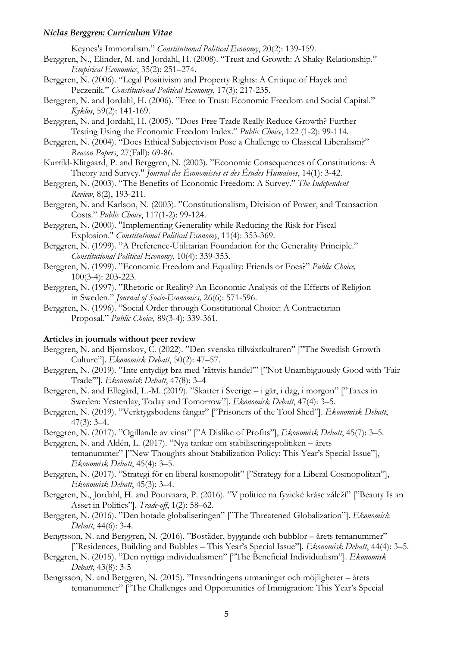Keynes's Immoralism." *Constitutional Political Economy*, 20(2): 139-159.

- Berggren, N., Elinder, M. and Jordahl, H. (2008). "Trust and Growth: A Shaky Relationship." *Empirical Economics*, 35(2): 251–274.
- Berggren, N. (2006). "Legal Positivism and Property Rights: A Critique of Hayek and Peczenik." *Constitutional Political Economy*, 17(3): 217-235.
- Berggren, N. and Jordahl, H. (2006). "Free to Trust: Economic Freedom and Social Capital." *Kyklos*, 59(2): 141-169.
- Berggren, N. and Jordahl, H. (2005). "Does Free Trade Really Reduce Growth? Further Testing Using the Economic Freedom Index." *Public Choice*, 122 (1-2): 99-114.
- Berggren, N. (2004). "Does Ethical Subjectivism Pose a Challenge to Classical Liberalism?" *Reason Papers*, 27(Fall): 69-86.
- Kurrild-Klitgaard, P. and Berggren, N. (2003). "Economic Consequences of Constitutions: A Theory and Survey." *Journal des Économistes et des Études Humaines*, 14(1): 3-42.
- Berggren, N. (2003). "The Benefits of Economic Freedom: A Survey." *The Independent Review*, 8(2), 193-211.
- Berggren, N. and Karlson, N. (2003). "Constitutionalism, Division of Power, and Transaction Costs." *Public Choice*, 117(1-2): 99-124.
- Berggren, N. (2000). "Implementing Generality while Reducing the Risk for Fiscal Explosion." *Constitutional Political Economy*, 11(4): 353-369.
- Berggren, N. (1999). "A Preference-Utilitarian Foundation for the Generality Principle." *Constitutional Political Economy*, 10(4): 339-353.
- Berggren, N. (1999). "Economic Freedom and Equality: Friends or Foes?" *Public Choice,*  100(3-4): 203-223.
- Berggren, N. (1997). "Rhetoric or Reality? An Economic Analysis of the Effects of Religion in Sweden." *Journal of Socio-Economics,* 26(6): 571-596.
- Berggren, N. (1996). "Social Order through Constitutional Choice: A Contractarian Proposal." *Public Choice,* 89(3-4): 339-361.

#### **Articles in journals without peer review**

- Berggren, N. and Bjørnskov, C. (2022). "Den svenska tillväxtkulturen" ["The Swedish Growth Culture"]. *Ekonomisk Debatt*, 50(2): 47–57.
- Berggren, N. (2019). "Inte entydigt bra med 'rättvis handel'" ["Not Unambiguously Good with 'Fair Trade'"]. *Ekonomisk Debatt*, 47(8): 3–4
- Berggren, N. and Ellegård, L.-M. (2019). "Skatter i Sverige i går, i dag, i morgon" ["Taxes in Sweden: Yesterday, Today and Tomorrow"]. *Ekonomisk Debatt*, 47(4): 3–5.
- Berggren, N. (2019). "Verktygsbodens fångar" ["Prisoners of the Tool Shed"]. *Ekonomisk Debatt*, 47(3): 3–4.
- Berggren, N. (2017). "Ogillande av vinst" ["A Dislike of Profits"], *Ekonomisk Debatt*, 45(7): 3–5.

Berggren, N. and Aldén, L. (2017). "Nya tankar om stabiliseringspolitiken – årets

- temanummer" ["New Thoughts about Stabilization Policy: This Year's Special Issue"], *Ekonomisk Debatt*, 45(4): 3–5.
- Berggren, N. (2017). "Strategi för en liberal kosmopolit" ["Strategy for a Liberal Cosmopolitan"], *Ekonomisk Debatt*, 45(3): 3–4.
- Berggren, N., Jordahl, H. and Poutvaara, P. (2016). "V politice na fyzické kráse záleží" ["Beauty Is an Asset in Politics"]. *Trade-off*, 1(2): 58–62.
- Berggren, N. (2016). "Den hotade globaliseringen" ["The Threatened Globalization"]. *Ekonomisk Debatt*, 44(6): 3-4.
- Bengtsson, N. and Berggren, N. (2016). "Bostäder, byggande och bubblor årets temanummer" ["Residences, Building and Bubbles – This Year's Special Issue"]. *Ekonomisk Debatt*, 44(4): 3–5.
- Berggren, N. (2015). "Den nyttiga individualismen" ["The Beneficial Individualism"]. *Ekonomisk Debatt*, 43(8): 3-5
- Bengtsson, N. and Berggren, N. (2015). "Invandringens utmaningar och möjligheter årets temanummer" ["The Challenges and Opportunities of Immigration: This Year's Special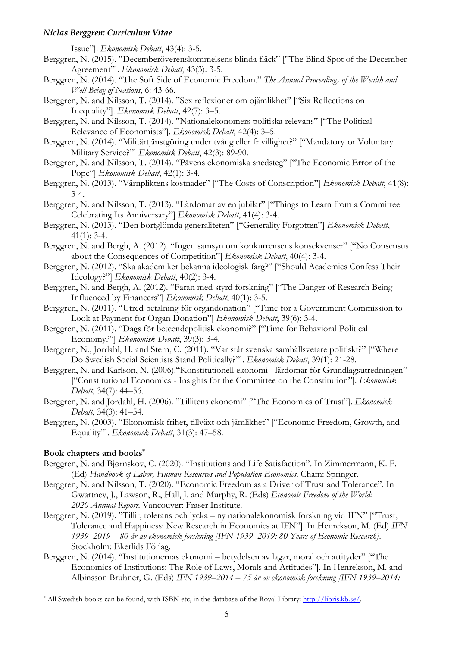Issue"]. *Ekonomisk Debatt*, 43(4): 3-5.

- Berggren, N. (2015). "Decemberöverenskommelsens blinda fläck" ["The Blind Spot of the December Agreement"]. *Ekonomisk Debatt*, 43(3): 3-5.
- Berggren, N. (2014). "The Soft Side of Economic Freedom." *The Annual Proceedings of the Wealth and Well-Being of Nations*, 6: 43-66.
- Berggren, N. and Nilsson, T. (2014). "Sex reflexioner om ojämlikhet" ["Six Reflections on Inequality"]. *Ekonomisk Debatt*, 42(7): 3–5.
- Berggren, N. and Nilsson, T. (2014). "Nationalekonomers politiska relevans" ["The Political Relevance of Economists"]. *Ekonomisk Debatt*, 42(4): 3–5.
- Berggren, N. (2014). "Militärtjänstgöring under tvång eller frivillighet?" ["Mandatory or Voluntary Military Service?"] *Ekonomisk Debatt*, 42(3): 89-90.
- Berggren, N. and Nilsson, T. (2014). "Påvens ekonomiska snedsteg" ["The Economic Error of the Pope"] *Ekonomisk Debatt*, 42(1): 3-4.
- Berggren, N. (2013). "Värnpliktens kostnader" ["The Costs of Conscription"] *Ekonomisk Debatt*, 41(8): 3-4.
- Berggren, N. and Nilsson, T. (2013). "Lärdomar av en jubilar" ["Things to Learn from a Committee Celebrating Its Anniversary"] *Ekonomisk Debatt*, 41(4): 3-4.
- Berggren, N. (2013). "Den bortglömda generaliteten" ["Generality Forgotten"] *Ekonomisk Debatt*,  $41(1)$ : 3-4.
- Berggren, N. and Bergh, A. (2012). "Ingen samsyn om konkurrensens konsekvenser" ["No Consensus about the Consequences of Competition"] *Ekonomisk Debatt*, 40(4): 3-4.
- Berggren, N. (2012). "Ska akademiker bekänna ideologisk färg?" ["Should Academics Confess Their Ideology?"] *Ekonomisk Debatt*, 40(2): 3-4.
- Berggren, N. and Bergh, A. (2012). "Faran med styrd forskning" ["The Danger of Research Being Influenced by Financers"] *Ekonomisk Debatt*, 40(1): 3-5.
- Berggren, N. (2011). "Utred betalning för organdonation" ["Time for a Government Commission to Look at Payment for Organ Donation"] *Ekonomisk Debatt*, 39(6): 3-4.
- Berggren, N. (2011). "Dags för beteendepolitisk ekonomi?" ["Time for Behavioral Political Economy?"] *Ekonomisk Debatt*, 39(3): 3-4.
- Berggren, N., Jordahl, H. and Stern, C. (2011). "Var står svenska samhällsvetare politiskt?" ["Where Do Swedish Social Scientists Stand Politically?"]. *Ekonomisk Debatt*, 39(1): 21-28.
- Berggren, N. and Karlson, N. (2006)."Konstitutionell ekonomi lärdomar för Grundlagsutredningen" ["Constitutional Economics - Insights for the Committee on the Constitution"]. *Ekonomisk Debatt*, 34(7): 44–56.
- Berggren, N. and Jordahl, H. (2006). "Tillitens ekonomi" ["The Economics of Trust"]. *Ekonomisk Debatt*, 34(3): 41–54.
- Berggren, N. (2003). "Ekonomisk frihet, tillväxt och jämlikhet" ["Economic Freedom, Growth, and Equality"]. *Ekonomisk Debatt*, 31(3): 47–58.

#### **Book chapters and books\***

- Berggren, N. and Bjørnskov, C. (2020). "Institutions and Life Satisfaction". In Zimmermann, K. F. (Ed) *Handbook of Labor, Human Resources and Population Economics*. Cham: Springer.
- Berggren, N. and Nilsson, T. (2020). "Economic Freedom as a Driver of Trust and Tolerance". In Gwartney, J., Lawson, R., Hall, J. and Murphy, R. (Eds) *Economic Freedom of the World: 2020 Annual Report*. Vancouver: Fraser Institute.
- Berggren, N. (2019). "Tillit, tolerans och lycka ny nationalekonomisk forskning vid IFN" ["Trust, Tolerance and Happiness: New Research in Economics at IFN"]. In Henrekson, M. (Ed) *IFN 1939–2019 – 80 år av ekonomisk forskning [IFN 1939–2019: 80 Years of Economic Research]*. Stockholm: Ekerlids Förlag.
- Berggren, N. (2014). "Institutionernas ekonomi betydelsen av lagar, moral och attityder" ["The Economics of Institutions: The Role of Laws, Morals and Attitudes"]. In Henrekson, M. and Albinsson Bruhner, G. (Eds) *IFN 1939–2014 – 75 år av ekonomisk forskning [IFN 1939–2014:*

<sup>\*</sup> All Swedish books can be found, with ISBN etc, in the database of the Royal Library: http://libris.kb.se/.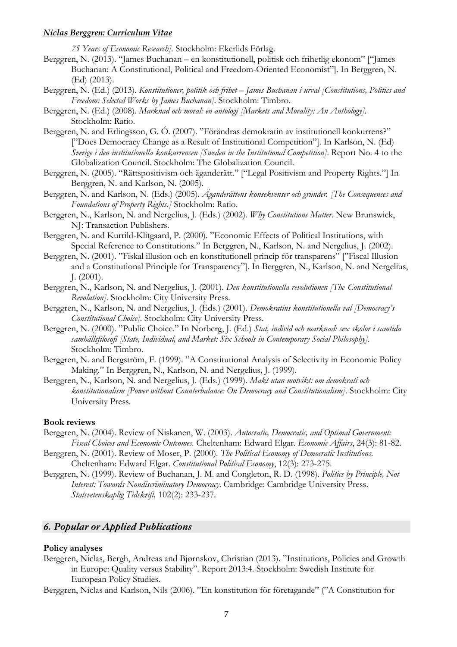*75 Years of Economic Research].* Stockholm: Ekerlids Förlag.

- Berggren, N. (2013). "James Buchanan en konstitutionell, politisk och frihetlig ekonom" ["James Buchanan: A Constitutional, Political and Freedom-Oriented Economist"]. In Berggren, N. (Ed) (2013).
- Berggren, N. (Ed.) (2013). *Konstitutioner, politik och frihet – James Buchanan i urval [Constitutions, Politics and Freedom: Selected Works by James Buchanan]*. Stockholm: Timbro.
- Berggren, N. (Ed.) (2008). *Marknad och moral: en antologi [Markets and Morality: An Anthology]*. Stockholm: Ratio.
- Berggren, N. and Erlingsson, G. Ó. (2007). "Förändras demokratin av institutionell konkurrens?" ["Does Democracy Change as a Result of Institutional Competition"]. In Karlson, N. (Ed) *Sverige i den institutionella konkurrensen [Sweden in the Institutional Competition]*. Report No. 4 to the Globalization Council. Stockholm: The Globalization Council.
- Berggren, N. (2005). "Rättspositivism och äganderätt." ["Legal Positivism and Property Rights."] In Berggren, N. and Karlson, N. (2005).
- Berggren, N. and Karlson, N. (Eds.) (2005). *Äganderättens konsekvenser och grunder. [The Consequences and Foundations of Property Rights.]* Stockholm: Ratio.
- Berggren, N., Karlson, N. and Nergelius, J. (Eds.) (2002). *Why Constitutions Matter*. New Brunswick, NJ: Transaction Publishers.
- Berggren, N. and Kurrild-Klitgaard, P. (2000). "Economic Effects of Political Institutions, with Special Reference to Constitutions." In Berggren, N., Karlson, N. and Nergelius, J. (2002).
- Berggren, N. (2001). "Fiskal illusion och en konstitutionell princip för transparens" ["Fiscal Illusion and a Constitutional Principle for Transparency"]. In Berggren, N., Karlson, N. and Nergelius, J. (2001).
- Berggren, N., Karlson, N. and Nergelius, J. (2001). *Den konstitutionella revolutionen [The Constitutional Revolution].* Stockholm: City University Press.
- Berggren, N., Karlson, N. and Nergelius, J. (Eds.) (2001). *Demokratins konstitutionella val [Democracy's Constitutional Choice]*. Stockholm: City University Press.
- Berggren, N. (2000). "Public Choice." In Norberg, J. (Ed.) *Stat, individ och marknad: sex skolor i samtida samhällsfilosofi [State, Individual, and Market: Six Schools in Contemporary Social Philosophy].*  Stockholm: Timbro.
- Berggren, N. and Bergström, F. (1999). "A Constitutional Analysis of Selectivity in Economic Policy Making." In Berggren, N., Karlson, N. and Nergelius, J. (1999).
- Berggren, N., Karlson, N. and Nergelius, J. (Eds.) (1999). *Makt utan motvikt: om demokrati och konstitutionalism [Power without Counterbalance: On Democracy and Constitutionalism]*. Stockholm: City University Press.

#### **Book reviews**

- Berggren, N. (2004). Review of Niskanen, W. (2003). *Autocratic, Democratic, and Optimal Government: Fiscal Choices and Economic Outcomes.* Cheltenham: Edward Elgar. *Economic Affairs*, 24(3): 81-82.
- Berggren, N. (2001). Review of Moser, P. (2000). *The Political Economy of Democratic Institutions*. Cheltenham: Edward Elgar. *Constitutional Political Economy*, 12(3): 273-275.
- Berggren, N. (1999). Review of Buchanan, J. M. and Congleton, R. D. (1998). *Politics by Principle, Not Interest: Towards Nondiscriminatory Democracy*. Cambridge: Cambridge University Press. *Statsvetenskaplig Tidskrift,* 102(2): 233-237.

# *6. Popular or Applied Publications*

#### **Policy analyses**

Berggren, Niclas, Bergh, Andreas and Bjørnskov, Christian (2013). "Institutions, Policies and Growth in Europe: Quality versus Stability". Report 2013:4. Stockholm: Swedish Institute for European Policy Studies.

Berggren, Niclas and Karlson, Nils (2006). "En konstitution för företagande" ("A Constitution for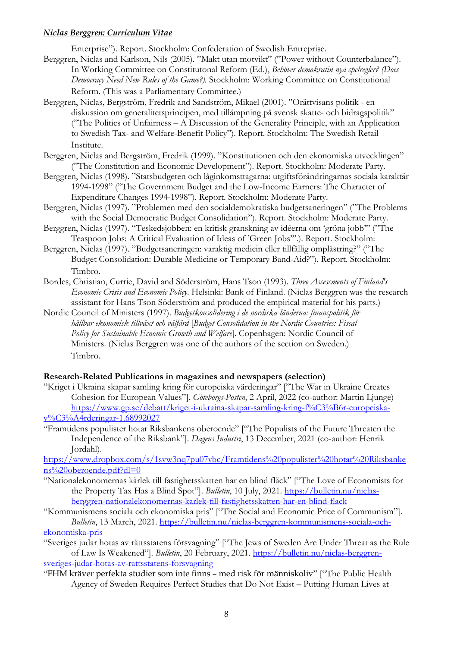Enterprise"). Report. Stockholm: Confederation of Swedish Entreprise.

- Berggren, Niclas and Karlson, Nils (2005). "Makt utan motvikt" ("Power without Counterbalance"). In Working Committee on Constitutonal Reform (Ed.), *Behöver demokratin nya spelregler? (Does Democracy Need New Rules of the Game?).* Stockholm: Working Committee on Constitutional Reform. (This was a Parliamentary Committee.)
- Berggren, Niclas, Bergström, Fredrik and Sandström, Mikael (2001). "Orättvisans politik en diskussion om generalitetsprincipen, med tillämpning på svensk skatte- och bidragspolitik" ("The Politics of Unfairness – A Discussion of the Generality Principle, with an Application to Swedish Tax- and Welfare-Benefit Policy"). Report. Stockholm: The Swedish Retail Institute.
- Berggren, Niclas and Bergström, Fredrik (1999). "Konstitutionen och den ekonomiska utvecklingen" ("The Constitution and Economic Development"). Report. Stockholm: Moderate Party.
- Berggren, Niclas (1998). "Statsbudgeten och låginkomsttagarna: utgiftsförändringarnas sociala karaktär 1994-1998" ("The Government Budget and the Low-Income Earners: The Character of Expenditure Changes 1994-1998"). Report. Stockholm: Moderate Party.
- Berggren, Niclas (1997). "Problemen med den socialdemokratiska budgetsaneringen" ("The Problems with the Social Democratic Budget Consolidation"). Report. Stockholm: Moderate Party.
- Berggren, Niclas (1997). "Teskedsjobben: en kritisk granskning av idéerna om 'gröna jobb'" ("The Teaspoon Jobs: A Critical Evaluation of Ideas of 'Green Jobs'".). Report. Stockholm:
- Berggren, Niclas (1997). "Budgetsaneringen: varaktig medicin eller tillfällig omplåstring?" ("The Budget Consolidation: Durable Medicine or Temporary Band-Aid?"). Report. Stockholm: Timbro.
- Bordes, Christian, Currie, David and Söderström, Hans Tson (1993). *Three Assessments of Finland's Economic Crisis and Economic Policy*. Helsinki: Bank of Finland. (Niclas Berggren was the research assistant for Hans Tson Söderström and produced the empirical material for his parts.)
- Nordic Council of Ministers (1997). *Budgetkonsolidering i de nordiska länderna: finanspolitik för hållbar ekonomisk tillväxt och välfärd* [*Budget Consolidation in the Nordic Countries: Fiscal Policy for Sustainable Ecnomic Growth and Welfare*]. Copenhagen: Nordic Council of Ministers. (Niclas Berggren was one of the authors of the section on Sweden.) Timbro.

# **Research-Related Publications in magazines and newspapers (selection)**

- "Kriget i Ukraina skapar samling kring för europeiska värderingar" ["The War in Ukraine Creates Cohesion for European Values"]. *Göteborgs-Posten*, 2 April, 2022 (co-author: Martin Ljunge) https://www.gp.se/debatt/kriget-i-ukraina-skapar-samling-kring-f%C3%B6r-europeiskav%C3%A4rderingar-1.68992027
- "Framtidens populister hotar Riksbankens oberoende" ["The Populists of the Future Threaten the Independence of the Riksbank"]. *Dagens Industri*, 13 December, 2021 (co-author: Henrik Jordahl).

https://www.dropbox.com/s/1svw3nq7pu07ybc/Framtidens%20populister%20hotar%20Riksbanke ns%20oberoende.pdf?dl=0

- "Nationalekonomernas kärlek till fastighetsskatten har en blind fläck" ["The Love of Economists for the Property Tax Has a Blind Spot"]. *Bulletin*, 10 July, 2021. *https://bulletin.nu/niclas*berggren-nationalekonomernas-karlek-till-fastighetsskatten-har-en-blind-flack
- "Kommunismens sociala och ekonomiska pris" ["The Social and Economic Price of Communism"]. *Bulletin*, 13 March, 2021. https://bulletin.nu/niclas-berggren-kommunismens-sociala-och-

#### ekonomiska-pris

- "Sveriges judar hotas av rättsstatens försvagning" ["The Jews of Sweden Are Under Threat as the Rule of Law Is Weakened"]. *Bulletin*, 20 February, 2021. https://bulletin.nu/niclas-berggrensveriges-judar-hotas-av-rattsstatens-forsvagning
- "FHM kräver perfekta studier som inte finns med risk för människoliv" ["The Public Health Agency of Sweden Requires Perfect Studies that Do Not Exist – Putting Human Lives at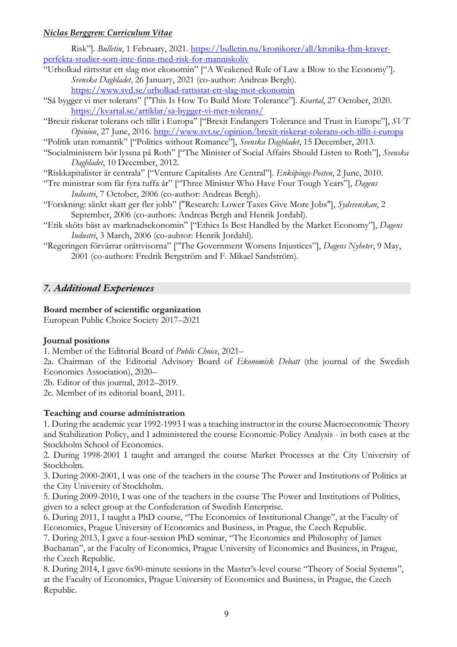Risk"]. *Bulletin*, 1 February, 2021. https://bulletin.nu/kronikorer/all/kronika-fhm-kraverperfekta-studier-som-inte-finns-med-risk-for-manniskoliv

- "Urholkad rättsstat ett slag mot ekonomin" ["A Weakened Rule of Law a Blow to the Economy"]. *Svenska Dagbladet*, 26 January, 2021 (co-author: Andreas Bergh). https://www.svd.se/urholkad-rattsstat-ett-slag-mot-ekonomin
- "Så bygger vi mer tolerans" ["This Is How To Build More Tolerance"]. *Kvartal*, 27 October, 2020. https://kvartal.se/artiklar/sa-bygger-vi-mer-tolerans/
- "Brexit riskerar tolerans och tillit i Europa" ["Brexit Endangers Tolerance and Trust in Europe"], *SVT Opinion*, 27 June, 2016. http://www.svt.se/opinion/brexit-riskerar-tolerans-och-tillit-i-europa
- "Politik utan romantik" ["Politics without Romance"], *Svenska Dagbladet*, 15 December, 2013.
- "Socialministern bör lyssna på Roth" ["The Minister of Social Affairs Should Listen to Roth"], *Svenska Dagbladet*, 10 December, 2012.

"Riskkapitalister är centrala" ["Venture Capitalists Are Central"]. *Enköpings-Posten*, 2 June, 2010.

- "Tre ministrar som får fyra tuffa år" ["Three Minister Who Have Four Tough Years"], *Dagens Industri*, 7 October, 2006 (co-author: Andreas Bergh).
- "Forskning: sänkt skatt ger fler jobb" ["Research: Lower Taxes Give More Jobs"], *Sydsvenskan*, 2 September, 2006 (co-authors: Andreas Bergh and Henrik Jordahl).
- "Etik sköts bäst av marknadsekonomin" ["Ethics Is Best Handled by the Market Economy"], *Dagens Industri*, 3 March, 2006 (co-auhtor: Henrik Jordahl).
- "Regeringen förvärrar orättvisorna" ["The Government Worsens Injustices"], *Dagens Nyheter*, 9 May, 2001 (co-authors: Fredrik Bergström and F. Mikael Sandström).

# *7. Additional Experiences*

# **Board member of scientific organization**

European Public Choice Society 2017–2021

# **Journal positions**

1. Member of the Editorial Board of *Public Choice*, 2021–

2a. Chairman of the Editorial Advisory Board of *Ekonomisk Debatt* (the journal of the Swedish Economics Association), 2020–

2b. Editor of this journal, 2012–2019.

2c. Member of its editorial board, 2011.

# **Teaching and course administration**

1. During the academic year 1992-1993 I was a teaching instructor in the course Macroeconomic Theory and Stabilization Policy, and I administered the course Economic-Policy Analysis - in both cases at the Stockholm School of Economics.

2. During 1998-2001 I taught and arranged the course Market Processes at the City University of Stockholm.

3. During 2000-2001, I was one of the teachers in the course The Power and Institutions of Politics at the City University of Stockholm.

5. During 2009-2010, I was one of the teachers in the course The Power and Institutions of Politics, given to a select group at the Confederation of Swedish Enterprise.

6. During 2011, I taught a PhD course, "The Economics of Institutional Change", at the Faculty of Economics, Prague University of Economics and Business, in Prague, the Czech Republic.

7. During 2013, I gave a four-session PhD seminar, "The Economics and Philosophy of James Buchanan", at the Faculty of Economics, Prague University of Economics and Business, in Prague, the Czech Republic.

8. During 2014, I gave 6x90-minute sessions in the Master's-level course "Theory of Social Systems", at the Faculty of Economics, Prague University of Economics and Business, in Prague, the Czech Republic.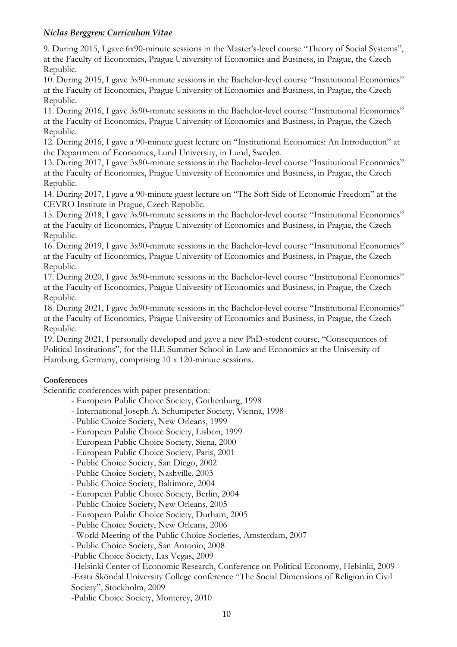9. During 2015, I gave 6x90-minute sessions in the Master's-level course "Theory of Social Systems", at the Faculty of Economics, Prague University of Economics and Business, in Prague, the Czech Republic.

10. During 2015, I gave 3x90-minute sessions in the Bachelor-level course "Institutional Economics" at the Faculty of Economics, Prague University of Economics and Business, in Prague, the Czech Republic.

11. During 2016, I gave 3x90-minute sessions in the Bachelor-level course "Institutional Economics" at the Faculty of Economics, Prague University of Economics and Business, in Prague, the Czech Republic.

12. During 2016, I gave a 90-minute guest lecture on "Institutional Economics: An Introduction" at the Department of Economics, Lund University, in Lund, Sweden.

13. During 2017, I gave 3x90-minute sessions in the Bachelor-level course "Institutional Economics" at the Faculty of Economics, Prague University of Economics and Business, in Prague, the Czech Republic.

14. During 2017, I gave a 90-minute guest lecture on "The Soft Side of Economic Freedom" at the CEVRO Institute in Prague, Czech Republic.

15. During 2018, I gave 3x90-minute sessions in the Bachelor-level course "Institutional Economics" at the Faculty of Economics, Prague University of Economics and Business, in Prague, the Czech Republic.

16. During 2019, I gave 3x90-minute sessions in the Bachelor-level course "Institutional Economics" at the Faculty of Economics, Prague University of Economics and Business, in Prague, the Czech Republic.

17. During 2020, I gave 3x90-minute sessions in the Bachelor-level course "Institutional Economics" at the Faculty of Economics, Prague University of Economics and Business, in Prague, the Czech Republic.

18. During 2021, I gave 3x90-minute sessions in the Bachelor-level course "Institutional Economics" at the Faculty of Economics, Prague University of Economics and Business, in Prague, the Czech Republic.

19. During 2021, I personally developed and gave a new PhD-student course, "Consequences of Political Institutions", for the ILE Summer School in Law and Economics at the University of Hamburg, Germany, comprising 10 x 120-minute sessions.

# **Conferences**

Scientific conferences with paper presentation:

- European Public Choice Society, Gothenburg, 1998
- International Joseph A. Schumpeter Society, Vienna, 1998
- Public Choice Society, New Orleans, 1999
- European Public Choice Society, Lisbon, 1999
- European Public Choice Society, Siena, 2000
- European Public Choice Society, Paris, 2001
- Public Choice Society, San Diego, 2002
- Public Choice Society, Nashville, 2003
- Public Choice Society, Baltimore, 2004
- European Public Choice Society, Berlin, 2004
- Public Choice Society, New Orleans, 2005
- European Public Choice Society, Durham, 2005
- Public Choice Society, New Orleans, 2006
- World Meeting of the Public Choice Societies, Amsterdam, 2007
- Public Choice Society, San Antonio, 2008

-Public Choice Society, Las Vegas, 2009

-Helsinki Center of Economic Research, Conference on Political Economy, Helsinki, 2009 -Ersta Sköndal University College conference "The Social Dimensions of Religion in Civil Society", Stockholm, 2009

-Public Choice Society, Monterey, 2010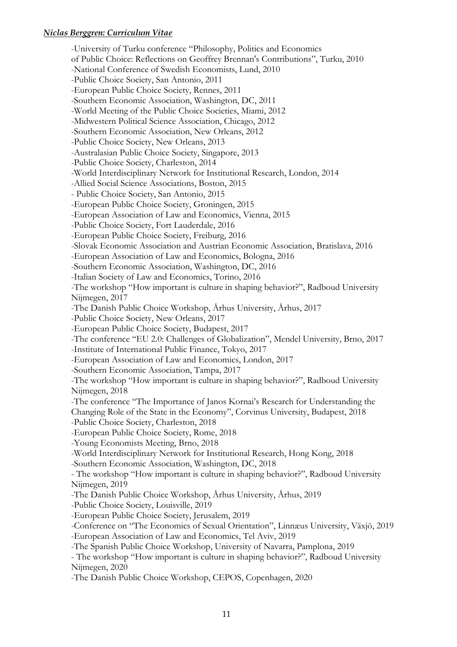-University of Turku conference "Philosophy, Politics and Economics of Public Choice: Reflections on Geoffrey Brennan's Contributions", Turku, 2010 -National Conference of Swedish Economists, Lund, 2010 -Public Choice Society, San Antonio, 2011 -European Public Choice Society, Rennes, 2011 -Southern Economic Association, Washington, DC, 2011 -World Meeting of the Public Choice Societies, Miami, 2012 -Midwestern Political Science Association, Chicago, 2012 -Southern Economic Association, New Orleans, 2012 -Public Choice Society, New Orleans, 2013 -Australasian Public Choice Society, Singapore, 2013 -Public Choice Society, Charleston, 2014 -World Interdisciplinary Network for Institutional Research, London, 2014 -Allied Social Science Associations, Boston, 2015 - Public Choice Society, San Antonio, 2015 -European Public Choice Society, Groningen, 2015 -European Association of Law and Economics, Vienna, 2015 -Public Choice Society, Fort Lauderdale, 2016 -European Public Choice Society, Freiburg, 2016 -Slovak Economic Association and Austrian Economic Association, Bratislava, 2016 -European Association of Law and Economics, Bologna, 2016 -Southern Economic Association, Washington, DC, 2016 -Italian Society of Law and Economics, Torino, 2016 -The workshop "How important is culture in shaping behavior?", Radboud University Nijmegen, 2017 -The Danish Public Choice Workshop, Århus University, Århus, 2017 -Public Choice Society, New Orleans, 2017 -European Public Choice Society, Budapest, 2017 -The conference "EU 2.0: Challenges of Globalization", Mendel University, Brno, 2017 -Institute of International Public Finance, Tokyo, 2017 -European Association of Law and Economics, London, 2017 -Southern Economic Association, Tampa, 2017 -The workshop "How important is culture in shaping behavior?", Radboud University Nijmegen, 2018 -The conference "The Importance of Janos Kornai's Research for Understanding the Changing Role of the State in the Economy", Corvinus University, Budapest, 2018 -Public Choice Society, Charleston, 2018 -European Public Choice Society, Rome, 2018 -Young Economists Meeting, Brno, 2018 -World Interdisciplinary Network for Institutional Research, Hong Kong, 2018 -Southern Economic Association, Washington, DC, 2018 - The workshop "How important is culture in shaping behavior?", Radboud University Nijmegen, 2019 -The Danish Public Choice Workshop, Århus University, Århus, 2019 -Public Choice Society, Louisville, 2019 -European Public Choice Society, Jerusalem, 2019 -Conference on "The Economics of Sexual Orientation", Linnæus University, Växjö, 2019 -European Association of Law and Economics, Tel Aviv, 2019 -The Spanish Public Choice Workshop, University of Navarra, Pamplona, 2019 - The workshop "How important is culture in shaping behavior?", Radboud University Nijmegen, 2020 -The Danish Public Choice Workshop, CEPOS, Copenhagen, 2020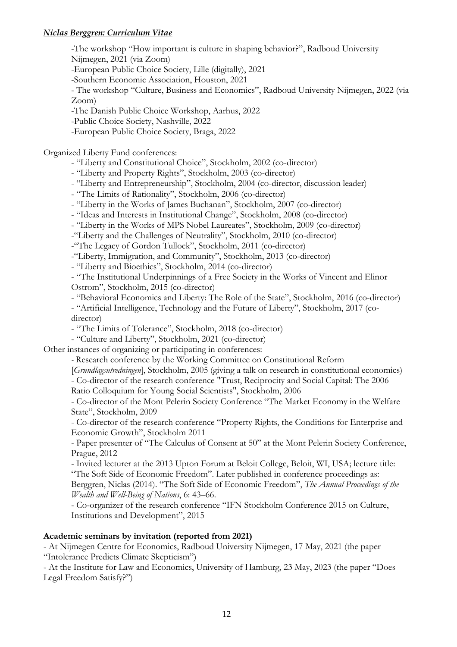-The workshop "How important is culture in shaping behavior?", Radboud University Nijmegen, 2021 (via Zoom) -European Public Choice Society, Lille (digitally), 2021 -Southern Economic Association, Houston, 2021 - The workshop "Culture, Business and Economics", Radboud University Nijmegen, 2022 (via Zoom) -The Danish Public Choice Workshop, Aarhus, 2022 -Public Choice Society, Nashville, 2022 -European Public Choice Society, Braga, 2022

Organized Liberty Fund conferences:

- "Liberty and Constitutional Choice", Stockholm, 2002 (co-director)

- "Liberty and Property Rights", Stockholm, 2003 (co-director)

- "Liberty and Entrepreneurship", Stockholm, 2004 (co-director, discussion leader)

- "The Limits of Rationality", Stockholm, 2006 (co-director)

- "Liberty in the Works of James Buchanan", Stockholm, 2007 (co-director)

- "Ideas and Interests in Institutional Change", Stockholm, 2008 (co-director)

- "Liberty in the Works of MPS Nobel Laureates", Stockholm, 2009 (co-director)

-"Liberty and the Challenges of Neutrality", Stockholm, 2010 (co-director)

-"The Legacy of Gordon Tullock", Stockholm, 2011 (co-director)

-"Liberty, Immigration, and Community", Stockholm, 2013 (co-director)

- "Liberty and Bioethics", Stockholm, 2014 (co-director)

- "The Institutional Underpinnings of a Free Society in the Works of Vincent and Elinor Ostrom", Stockholm, 2015 (co-director)

- "Behavioral Economics and Liberty: The Role of the State", Stockholm, 2016 (co-director) - "Artificial Intelligence, Technology and the Future of Liberty", Stockholm, 2017 (codirector)

- "The Limits of Tolerance", Stockholm, 2018 (co-director)

- "Culture and Liberty", Stockholm, 2021 (co-director)

Other instances of organizing or participating in conferences:

*-* Research conference by the Working Committee on Constitutional Reform

[*Grundlagsutredningen*], Stockholm, 2005 (giving a talk on research in constitutional economics) - Co-director of the research conference "Trust, Reciprocity and Social Capital: The 2006

Ratio Colloquium for Young Social Scientists", Stockholm, 2006

- Co-director of the Mont Pelerin Society Conference "The Market Economy in the Welfare State", Stockholm, 2009

- Co-director of the research conference "Property Rights, the Conditions for Enterprise and Economic Growth", Stockholm 2011

- Paper presenter of "The Calculus of Consent at 50" at the Mont Pelerin Society Conference, Prague, 2012

- Invited lecturer at the 2013 Upton Forum at Beloit College, Beloit, WI, USA; lecture title: "The Soft Side of Economic Freedom". Later published in conference proceedings as:

Berggren, Niclas (2014). "The Soft Side of Economic Freedom", *The Annual Proceedings of the Wealth and Well-Being of Nations*, 6: 43–66.

- Co-organizer of the research conference "IFN Stockholm Conference 2015 on Culture, Institutions and Development", 2015

#### **Academic seminars by invitation (reported from 2021)**

- At Nijmegen Centre for Economics, Radboud University Nijmegen, 17 May, 2021 (the paper "Intolerance Predicts Climate Skepticism")

- At the Institute for Law and Economics, University of Hamburg, 23 May, 2023 (the paper "Does Legal Freedom Satisfy?")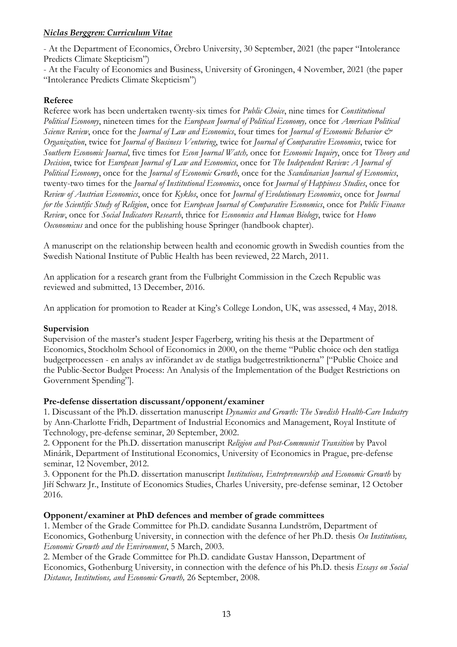- At the Department of Economics, Örebro University, 30 September, 2021 (the paper "Intolerance Predicts Climate Skepticism")

- At the Faculty of Economics and Business, University of Groningen, 4 November, 2021 (the paper "Intolerance Predicts Climate Skepticism")

# **Referee**

Referee work has been undertaken twenty-six times for *Public Choice*, nine times for *Constitutional Political Economy*, nineteen times for the *European Journal of Political Economy,* once for *American Political Science Review*, once for the *Journal of Law and Economics*, four times for *Journal of Economic Behavior & Organization*, twice for *Journal of Business Venturing*, twice for *Journal of Comparative Economics*, twice for *Southern Economic Journal*, five times for *Econ Journal Watch,* once for *Economic Inquiry*, once for *Theory and Decision*, twice for *European Journal of Law and Economics*, once for *The Independent Review: A Journal of Political Economy*, once for the *Journal of Economic Growth*, once for the *Scandinavian Journal of Economics*, twenty-two times for the *Journal of Institutional Economics*, once for *Journal of Happiness Studies*, once for *Review of Austrian Economics*, once for *Kyklos*, once for *Journal of Evolutionary Economics*, once for *Journal for the Scientific Study of Religion*, once for *European Journal of Comparative Economics*, once for *Public Finance Review*, once for *Social Indicators Research*, thrice for *Economics and Human Biology*, twice for *Homo Oeconomicus* and once for the publishing house Springer (handbook chapter).

A manuscript on the relationship between health and economic growth in Swedish counties from the Swedish National Institute of Public Health has been reviewed, 22 March, 2011.

An application for a research grant from the Fulbright Commission in the Czech Republic was reviewed and submitted, 13 December, 2016.

An application for promotion to Reader at King's College London, UK, was assessed, 4 May, 2018.

# **Supervision**

Supervision of the master's student Jesper Fagerberg, writing his thesis at the Department of Economics, Stockholm School of Economics in 2000, on the theme "Public choice och den statliga budgetprocessen - en analys av införandet av de statliga budgetrestriktionerna" ["Public Choice and the Public-Sector Budget Process: An Analysis of the Implementation of the Budget Restrictions on Government Spending"].

# **Pre-defense dissertation discussant/opponent/examiner**

1. Discussant of the Ph.D. dissertation manuscript *Dynamics and Growth: The Swedish Health-Care Industry* by Ann-Charlotte Fridh, Department of Industrial Economics and Management, Royal Institute of Technology, pre-defense seminar, 20 September, 2002.

2. Opponent for the Ph.D. dissertation manuscript *Religion and Post-Communist Transition* by Pavol Minárik, Department of Institutional Economics, University of Economics in Prague, pre-defense seminar, 12 November, 2012.

3. Opponent for the Ph.D. dissertation manuscript *Institutions, Entrepreneurship and Economic Growth* by Jiří Schwarz Jr., Institute of Economics Studies, Charles University, pre-defense seminar, 12 October 2016.

#### **Opponent/examiner at PhD defences and member of grade committees**

1. Member of the Grade Committee for Ph.D. candidate Susanna Lundström, Department of Economics, Gothenburg University, in connection with the defence of her Ph.D. thesis *On Institutions, Economic Growth and the Environment*, 5 March, 2003.

2. Member of the Grade Committee for Ph.D. candidate Gustav Hansson, Department of Economics, Gothenburg University, in connection with the defence of his Ph.D. thesis *Essays on Social Distance, Institutions, and Economic Growth,* 26 September, 2008.